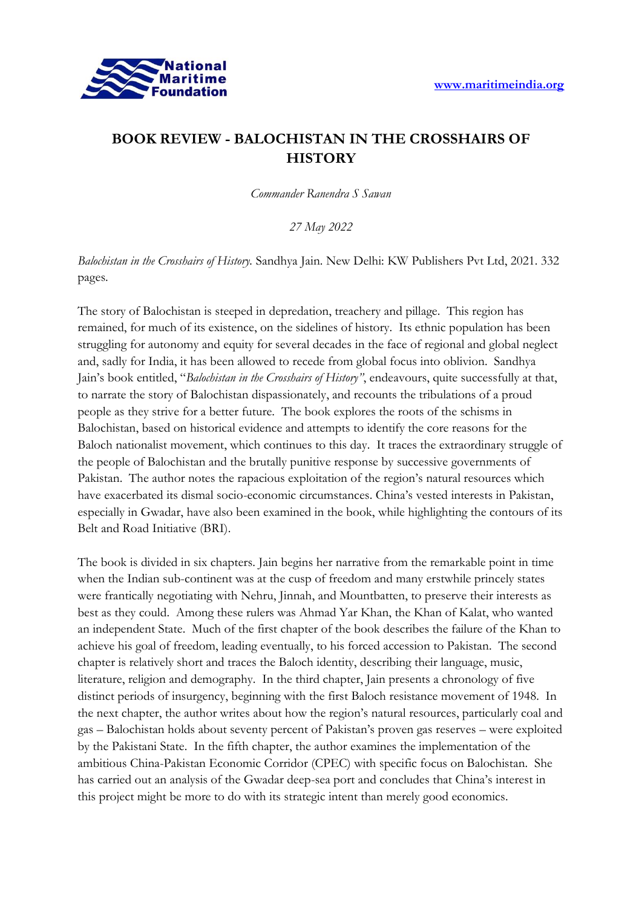

## **BOOK REVIEW - BALOCHISTAN IN THE CROSSHAIRS OF HISTORY**

*Commander Ranendra S Sawan* 

*27 May 2022*

*Balochistan in the Crosshairs of History.* Sandhya Jain. New Delhi: KW Publishers Pvt Ltd, 2021. 332 pages.

The story of Balochistan is steeped in depredation, treachery and pillage. This region has remained, for much of its existence, on the sidelines of history. Its ethnic population has been struggling for autonomy and equity for several decades in the face of regional and global neglect and, sadly for India, it has been allowed to recede from global focus into oblivion. Sandhya Jain's book entitled, "*Balochistan in the Crosshairs of History"*, endeavours, quite successfully at that, to narrate the story of Balochistan dispassionately, and recounts the tribulations of a proud people as they strive for a better future. The book explores the roots of the schisms in Balochistan, based on historical evidence and attempts to identify the core reasons for the Baloch nationalist movement, which continues to this day. It traces the extraordinary struggle of the people of Balochistan and the brutally punitive response by successive governments of Pakistan. The author notes the rapacious exploitation of the region's natural resources which have exacerbated its dismal socio-economic circumstances. China's vested interests in Pakistan, especially in Gwadar, have also been examined in the book, while highlighting the contours of its Belt and Road Initiative (BRI).

The book is divided in six chapters. Jain begins her narrative from the remarkable point in time when the Indian sub-continent was at the cusp of freedom and many erstwhile princely states were frantically negotiating with Nehru, Jinnah, and Mountbatten, to preserve their interests as best as they could. Among these rulers was Ahmad Yar Khan, the Khan of Kalat, who wanted an independent State. Much of the first chapter of the book describes the failure of the Khan to achieve his goal of freedom, leading eventually, to his forced accession to Pakistan. The second chapter is relatively short and traces the Baloch identity, describing their language, music, literature, religion and demography. In the third chapter, Jain presents a chronology of five distinct periods of insurgency, beginning with the first Baloch resistance movement of 1948. In the next chapter, the author writes about how the region's natural resources, particularly coal and gas – Balochistan holds about seventy percent of Pakistan's proven gas reserves – were exploited by the Pakistani State. In the fifth chapter, the author examines the implementation of the ambitious China-Pakistan Economic Corridor (CPEC) with specific focus on Balochistan. She has carried out an analysis of the Gwadar deep-sea port and concludes that China's interest in this project might be more to do with its strategic intent than merely good economics.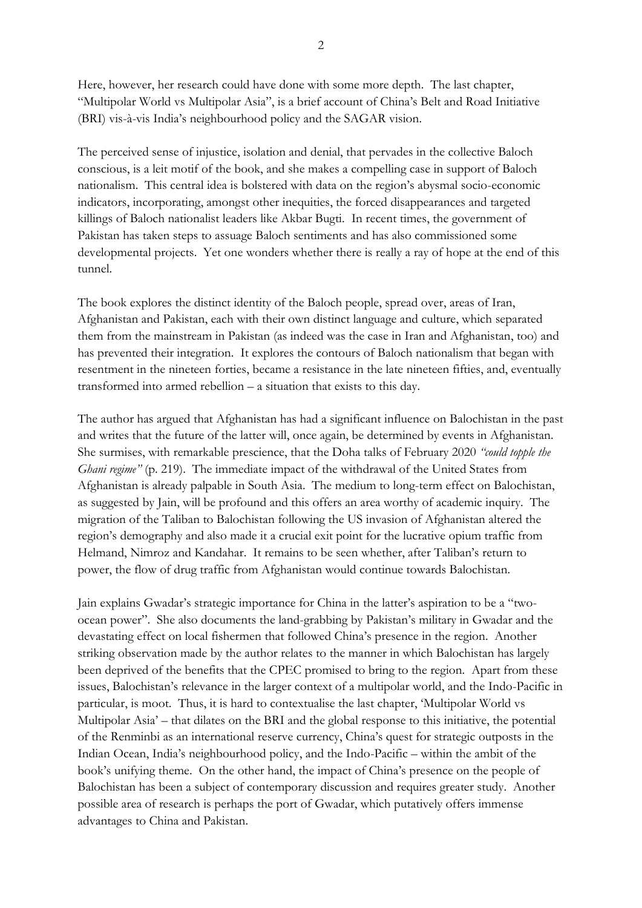Here, however, her research could have done with some more depth. The last chapter, "Multipolar World vs Multipolar Asia", is a brief account of China's Belt and Road Initiative (BRI) vis-à-vis India's neighbourhood policy and the SAGAR vision.

The perceived sense of injustice, isolation and denial, that pervades in the collective Baloch conscious, is a leit motif of the book, and she makes a compelling case in support of Baloch nationalism. This central idea is bolstered with data on the region's abysmal socio-economic indicators, incorporating, amongst other inequities, the forced disappearances and targeted killings of Baloch nationalist leaders like Akbar Bugti. In recent times, the government of Pakistan has taken steps to assuage Baloch sentiments and has also commissioned some developmental projects. Yet one wonders whether there is really a ray of hope at the end of this tunnel.

The book explores the distinct identity of the Baloch people, spread over, areas of Iran, Afghanistan and Pakistan, each with their own distinct language and culture, which separated them from the mainstream in Pakistan (as indeed was the case in Iran and Afghanistan, too) and has prevented their integration. It explores the contours of Baloch nationalism that began with resentment in the nineteen forties, became a resistance in the late nineteen fifties, and, eventually transformed into armed rebellion – a situation that exists to this day.

The author has argued that Afghanistan has had a significant influence on Balochistan in the past and writes that the future of the latter will, once again, be determined by events in Afghanistan. She surmises, with remarkable prescience, that the Doha talks of February 2020 *"could topple the Ghani regime"* (p. 219). The immediate impact of the withdrawal of the United States from Afghanistan is already palpable in South Asia. The medium to long-term effect on Balochistan, as suggested by Jain, will be profound and this offers an area worthy of academic inquiry. The migration of the Taliban to Balochistan following the US invasion of Afghanistan altered the region's demography and also made it a crucial exit point for the lucrative opium traffic from Helmand, Nimroz and Kandahar. It remains to be seen whether, after Taliban's return to power, the flow of drug traffic from Afghanistan would continue towards Balochistan.

Jain explains Gwadar's strategic importance for China in the latter's aspiration to be a "twoocean power". She also documents the land-grabbing by Pakistan's military in Gwadar and the devastating effect on local fishermen that followed China's presence in the region. Another striking observation made by the author relates to the manner in which Balochistan has largely been deprived of the benefits that the CPEC promised to bring to the region. Apart from these issues, Balochistan's relevance in the larger context of a multipolar world, and the Indo-Pacific in particular, is moot. Thus, it is hard to contextualise the last chapter, 'Multipolar World vs Multipolar Asia' – that dilates on the BRI and the global response to this initiative, the potential of the Renminbi as an international reserve currency, China's quest for strategic outposts in the Indian Ocean, India's neighbourhood policy, and the Indo-Pacific – within the ambit of the book's unifying theme. On the other hand, the impact of China's presence on the people of Balochistan has been a subject of contemporary discussion and requires greater study. Another possible area of research is perhaps the port of Gwadar, which putatively offers immense advantages to China and Pakistan.